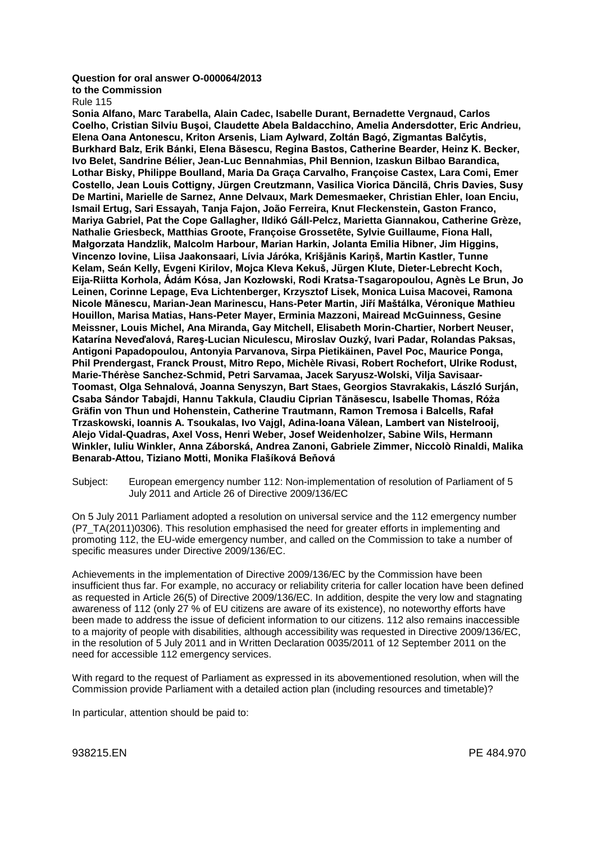## **Question for oral answer O-000064/2013**

**to the Commission**

Rule 115

**Sonia Alfano, Marc Tarabella, Alain Cadec, Isabelle Durant, Bernadette Vergnaud, Carlos Coelho, Cristian Silviu Buşoi, Claudette Abela Baldacchino, Amelia Andersdotter, Eric Andrieu, Elena Oana Antonescu, Kriton Arsenis, Liam Aylward, Zoltán Bagó, Zigmantas Balčytis, Burkhard Balz, Erik Bánki, Elena Băsescu, Regina Bastos, Catherine Bearder, Heinz K. Becker, Ivo Belet, Sandrine Bélier, Jean-Luc Bennahmias, Phil Bennion, Izaskun Bilbao Barandica, Lothar Bisky, Philippe Boulland, Maria Da Graça Carvalho, Françoise Castex, Lara Comi, Emer Costello, Jean Louis Cottigny, Jürgen Creutzmann, Vasilica Viorica Dăncilă, Chris Davies, Susy De Martini, Marielle de Sarnez, Anne Delvaux, Mark Demesmaeker, Christian Ehler, Ioan Enciu, Ismail Ertug, Sari Essayah, Tanja Fajon, João Ferreira, Knut Fleckenstein, Gaston Franco, Mariya Gabriel, Pat the Cope Gallagher, Ildikó Gáll-Pelcz, Marietta Giannakou, Catherine Grèze, Nathalie Griesbeck, Matthias Groote, Françoise Grossetête, Sylvie Guillaume, Fiona Hall, Małgorzata Handzlik, Malcolm Harbour, Marian Harkin, Jolanta Emilia Hibner, Jim Higgins, Vincenzo Iovine, Liisa Jaakonsaari, Lívia Járóka, Krišjānis Kariņš, Martin Kastler, Tunne Kelam, Seán Kelly, Evgeni Kirilov, Mojca Kleva Kekuš, Jürgen Klute, Dieter-Lebrecht Koch, Eija-Riitta Korhola, Ádám Kósa, Jan Kozłowski, Rodi Kratsa-Tsagaropoulou, Agnès Le Brun, Jo Leinen, Corinne Lepage, Eva Lichtenberger, Krzysztof Lisek, Monica Luisa Macovei, Ramona Nicole Mănescu, Marian-Jean Marinescu, Hans-Peter Martin, Jiří Maštálka, Véronique Mathieu Houillon, Marisa Matias, Hans-Peter Mayer, Erminia Mazzoni, Mairead McGuinness, Gesine Meissner, Louis Michel, Ana Miranda, Gay Mitchell, Elisabeth Morin-Chartier, Norbert Neuser, Katarína Neveďalová, Rareş-Lucian Niculescu, Miroslav Ouzký, Ivari Padar, Rolandas Paksas, Antigoni Papadopoulou, Antonyia Parvanova, Sirpa Pietikäinen, Pavel Poc, Maurice Ponga, Phil Prendergast, Franck Proust, Mitro Repo, Michèle Rivasi, Robert Rochefort, Ulrike Rodust, Marie-Thérèse Sanchez-Schmid, Petri Sarvamaa, Jacek Saryusz-Wolski, Vilja Savisaar-Toomast, Olga Sehnalová, Joanna Senyszyn, Bart Staes, Georgios Stavrakakis, László Surján, Csaba Sándor Tabajdi, Hannu Takkula, Claudiu Ciprian Tănăsescu, Isabelle Thomas, Róża Gräfin von Thun und Hohenstein, Catherine Trautmann, Ramon Tremosa i Balcells, Rafał Trzaskowski, Ioannis A. Tsoukalas, Ivo Vajgl, Adina-Ioana Vălean, Lambert van Nistelrooij, Alejo Vidal-Quadras, Axel Voss, Henri Weber, Josef Weidenholzer, Sabine Wils, Hermann Winkler, Iuliu Winkler, Anna Záborská, Andrea Zanoni, Gabriele Zimmer, Niccolò Rinaldi, Malika Benarab-Attou, Tiziano Motti, Monika Flašíková Beňová**

Subject: European emergency number 112: Non-implementation of resolution of Parliament of 5 July 2011 and Article 26 of Directive 2009/136/EC

On 5 July 2011 Parliament adopted a resolution on universal service and the 112 emergency number (P7\_TA(2011)0306). This resolution emphasised the need for greater efforts in implementing and promoting 112, the EU-wide emergency number, and called on the Commission to take a number of specific measures under Directive 2009/136/EC.

Achievements in the implementation of Directive 2009/136/EC by the Commission have been insufficient thus far. For example, no accuracy or reliability criteria for caller location have been defined as requested in Article 26(5) of Directive 2009/136/EC. In addition, despite the very low and stagnating awareness of 112 (only 27 % of EU citizens are aware of its existence), no noteworthy efforts have been made to address the issue of deficient information to our citizens. 112 also remains inaccessible to a majority of people with disabilities, although accessibility was requested in Directive 2009/136/EC, in the resolution of 5 July 2011 and in Written Declaration 0035/2011 of 12 September 2011 on the need for accessible 112 emergency services.

With regard to the request of Parliament as expressed in its abovementioned resolution, when will the Commission provide Parliament with a detailed action plan (including resources and timetable)?

In particular, attention should be paid to: